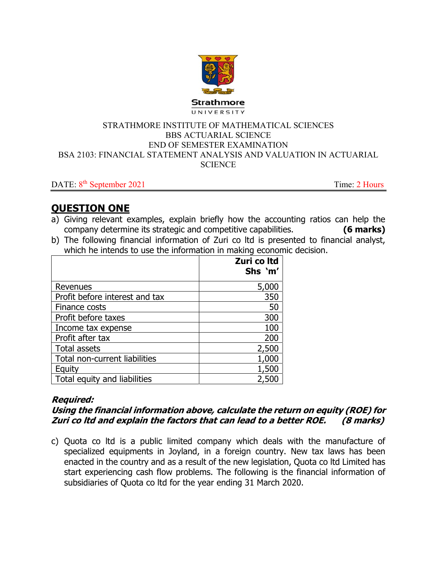

#### STRATHMORE INSTITUTE OF MATHEMATICAL SCIENCES BBS ACTUARIAL SCIENCE END OF SEMESTER EXAMINATION BSA 2103: FINANCIAL STATEMENT ANALYSIS AND VALUATION IN ACTUARIAL **SCIENCE**

DATE: 8<sup>th</sup> September 2021 Time: 2 Hours

# **QUESTION ONE**

- a) Giving relevant examples, explain briefly how the accounting ratios can help the company determine its strategic and competitive capabilities. **(6 marks)**
- b) The following financial information of Zuri co ltd is presented to financial analyst, which he intends to use the information in making economic decision.

|                                | Zuri co Itd<br>Shs 'm' |
|--------------------------------|------------------------|
| Revenues                       | 5,000                  |
| Profit before interest and tax | 350                    |
| Finance costs                  | 50                     |
| Profit before taxes            | 300                    |
| Income tax expense             | 100                    |
| Profit after tax               | 200                    |
| <b>Total assets</b>            | 2,500                  |
| Total non-current liabilities  | 1,000                  |
| Equity                         | 1,500                  |
| Total equity and liabilities   |                        |

# **Required:**

## **Using the financial information above, calculate the return on equity (ROE) for Zuri co ltd and explain the factors that can lead to a better ROE. (8 marks)**

c) Quota co ltd is a public limited company which deals with the manufacture of specialized equipments in Joyland, in a foreign country. New tax laws has been enacted in the country and as a result of the new legislation, Quota co ltd Limited has start experiencing cash flow problems. The following is the financial information of subsidiaries of Quota co ltd for the year ending 31 March 2020.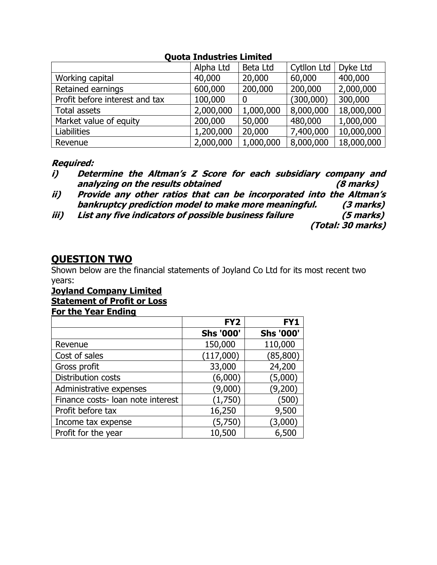|                                | Alpha Ltd | Beta Ltd  | <b>Cytllon Ltd</b> | Dyke Ltd   |
|--------------------------------|-----------|-----------|--------------------|------------|
| Working capital                | 40,000    | 20,000    | 60,000             | 400,000    |
| Retained earnings              | 600,000   | 200,000   | 200,000            | 2,000,000  |
| Profit before interest and tax | 100,000   | 0         | (300,000)          | 300,000    |
| Total assets                   | 2,000,000 | 1,000,000 | 8,000,000          | 18,000,000 |
| Market value of equity         | 200,000   | 50,000    | 480,000            | 1,000,000  |
| <b>Liabilities</b>             | 1,200,000 | 20,000    | 7,400,000          | 10,000,000 |
| Revenue                        | 2,000,000 | 1,000,000 | 8,000,000          | 18,000,000 |

#### **Quota Industries Limited**

#### **Required:**

| $\boldsymbol{i}$ | Determine the Altman's Z Score for each subsidiary company and |           |
|------------------|----------------------------------------------------------------|-----------|
|                  | analyzing on the results obtained                              | (8 marks) |

**ii) Provide any other ratios that can be incorporated into the Altman's bankruptcy prediction model to make more meaningful.** 

**iii) List any five indicators of possible business failure (5 marks)** 

**(Total: 30 marks)** 

## **QUESTION TWO**

Shown below are the financial statements of Joyland Co Ltd for its most recent two years:

# **Joyland Company Limited**

# **Statement of Profit or Loss**

**For the Year Ending** 

|                                   | FY <sub>2</sub>  | <b>FY1</b>       |
|-----------------------------------|------------------|------------------|
|                                   | <b>Shs '000'</b> | <b>Shs '000'</b> |
| Revenue                           | 150,000          | 110,000          |
| Cost of sales                     | (117,000)        | (85, 800)        |
| Gross profit                      | 33,000           | 24,200           |
| Distribution costs                | (6,000)          | (5,000)          |
| Administrative expenses           | (9,000)          | (9, 200)         |
| Finance costs- loan note interest | (1,750)          | (500)            |
| Profit before tax                 | 16,250           | 9,500            |
| Income tax expense                | (5,750)          | (3,000)          |
| Profit for the year               | 10,500           | 6,500            |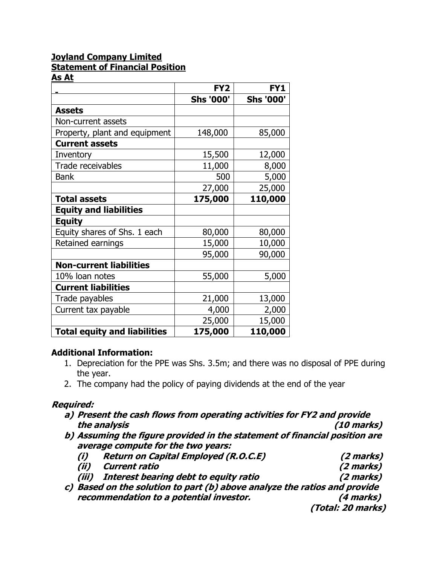# **Joyland Company Limited Statement of Financial Position**

|--|

|                                     | FY <sub>2</sub>  | FY1              |
|-------------------------------------|------------------|------------------|
|                                     | <b>Shs '000'</b> | <b>Shs '000'</b> |
| <b>Assets</b>                       |                  |                  |
| Non-current assets                  |                  |                  |
| Property, plant and equipment       | 148,000          | 85,000           |
| <b>Current assets</b>               |                  |                  |
| Inventory                           | 15,500           | 12,000           |
| Trade receivables                   | 11,000           | 8,000            |
| <b>Bank</b>                         | 500              | 5,000            |
|                                     | 27,000           | 25,000           |
| <b>Total assets</b>                 | 175,000          | 110,000          |
| <b>Equity and liabilities</b>       |                  |                  |
| <b>Equity</b>                       |                  |                  |
| Equity shares of Shs. 1 each        | 80,000           | 80,000           |
| Retained earnings                   | 15,000           | 10,000           |
|                                     | 95,000           | 90,000           |
| <b>Non-current liabilities</b>      |                  |                  |
| 10% loan notes                      | 55,000           | 5,000            |
| <b>Current liabilities</b>          |                  |                  |
| Trade payables                      | 21,000           | 13,000           |
| Current tax payable                 | 4,000            | 2,000            |
|                                     | 25,000           | 15,000           |
| <b>Total equity and liabilities</b> | 175,000          | 110,000          |

## **Additional Information:**

- 1. Depreciation for the PPE was Shs. 3.5m; and there was no disposal of PPE during the year.
- 2. The company had the policy of paying dividends at the end of the year

#### **Required:**

|       | a) Present the cash flows from operating activities for FY2 and provide                                          |                   |
|-------|------------------------------------------------------------------------------------------------------------------|-------------------|
|       | the analysis                                                                                                     | (10 marks)        |
|       | b) Assuming the figure provided in the statement of financial position are<br>average compute for the two years: |                   |
| (i)   | <b>Return on Capital Employed (R.O.C.E)</b>                                                                      | (2 marks)         |
| (ii)  | <b>Current ratio</b>                                                                                             | (2 marks)         |
| (iii) | Interest bearing debt to equity ratio                                                                            | (2 marks)         |
|       | c) Based on the solution to part (b) above analyze the ratios and provide                                        |                   |
|       | recommendation to a potential investor.                                                                          | (4 marks)         |
|       |                                                                                                                  | (Total: 20 marks) |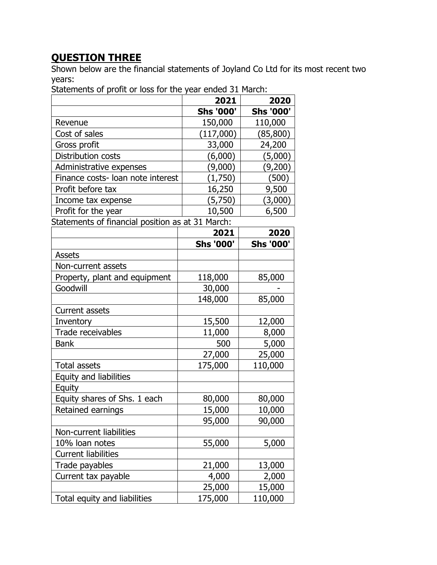# **QUESTION THREE**

Shown below are the financial statements of Joyland Co Ltd for its most recent two years:

Statements of profit or loss for the year ended 31 March:

|                                                  | 2021             | 2020             |
|--------------------------------------------------|------------------|------------------|
|                                                  | <b>Shs '000'</b> | <b>Shs '000'</b> |
| Revenue                                          | 150,000          | 110,000          |
| Cost of sales                                    | (117,000)        | (85, 800)        |
| Gross profit                                     | 33,000           | 24,200           |
| Distribution costs                               | (6,000)          | (5,000)          |
| Administrative expenses                          | (9,000)          | (9,200)          |
| Finance costs- loan note interest                | (1,750)          | (500)            |
| Profit before tax                                | 16,250           | 9,500            |
| Income tax expense                               | (5,750)          | <u>(3,000)</u>   |
| Profit for the year                              | 10,500           | 6,500            |
| Statements of financial position as at 31 March: |                  |                  |
|                                                  | 2021             | 2020             |
|                                                  | <b>Shs '000'</b> | <b>Shs '000'</b> |
| Assets                                           |                  |                  |
| Non-current assets                               |                  |                  |
| Property, plant and equipment                    | 118,000          | 85,000           |
| Goodwill                                         | 30,000           |                  |
|                                                  | 148,000          | 85,000           |
| <b>Current assets</b>                            |                  |                  |
| Inventory                                        | 15,500           | 12,000           |
| Trade receivables                                | 11,000           | 8,000            |
| <b>Bank</b>                                      | 500              | 5,000            |
|                                                  | 27,000           | 25,000           |
| <b>Total assets</b>                              | 175,000          | 110,000          |
| Equity and liabilities                           |                  |                  |
| Equity                                           |                  |                  |
| Equity shares of Shs. 1 each                     | 80,000           | 80,000           |
| Retained earnings                                | 15,000           | 10,000           |
|                                                  | 95,000           | 90,000           |
| Non-current liabilities                          |                  |                  |
| 10% loan notes                                   | 55,000           | 5,000            |
| <b>Current liabilities</b>                       |                  |                  |
| Trade payables                                   | 21,000           | 13,000           |
| Current tax payable                              | 4,000            | 2,000            |
|                                                  | 25,000           | 15,000           |
| Total equity and liabilities                     | 175,000          | 110,000          |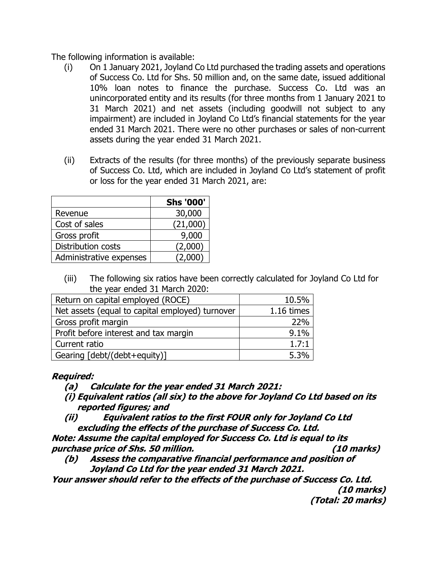The following information is available:

- (i) On 1 January 2021, Joyland Co Ltd purchased the trading assets and operations of Success Co. Ltd for Shs. 50 million and, on the same date, issued additional 10% loan notes to finance the purchase. Success Co. Ltd was an unincorporated entity and its results (for three months from 1 January 2021 to 31 March 2021) and net assets (including goodwill not subject to any impairment) are included in Joyland Co Ltd's financial statements for the year ended 31 March 2021. There were no other purchases or sales of non-current assets during the year ended 31 March 2021.
- (ii) Extracts of the results (for three months) of the previously separate business of Success Co. Ltd, which are included in Joyland Co Ltd's statement of profit or loss for the year ended 31 March 2021, are:

|                         | <b>Shs '000'</b> |
|-------------------------|------------------|
| Revenue                 | 30,000           |
| Cost of sales           | (21,000)         |
| Gross profit            | 9,000            |
| Distribution costs      | (2,000)          |
| Administrative expenses | (2.000)          |

(iii) The following six ratios have been correctly calculated for Joyland Co Ltd for the year ended 31 March 2020:

| Return on capital employed (ROCE)               | 10.5%      |
|-------------------------------------------------|------------|
| Net assets (equal to capital employed) turnover | 1.16 times |
| Gross profit margin                             | 22%        |
| Profit before interest and tax margin           | 9.1%       |
| Current ratio                                   | 1.7:1      |
| Gearing [debt/(debt+equity)]                    | 5.3%       |

#### **Required:**

**(a) Calculate for the year ended 31 March 2021:** 

**(i) Equivalent ratios (all six) to the above for Joyland Co Ltd based on its reported figures; and** 

**(ii) Equivalent ratios to the first FOUR only for Joyland Co Ltd excluding the effects of the purchase of Success Co. Ltd.** 

**Note: Assume the capital employed for Success Co. Ltd is equal to its purchase price of Shs. 50 million. (10 marks)** 

**(b) Assess the comparative financial performance and position of Joyland Co Ltd for the year ended 31 March 2021.** 

**Your answer should refer to the effects of the purchase of Success Co. Ltd. (10 marks) (Total: 20 marks)**